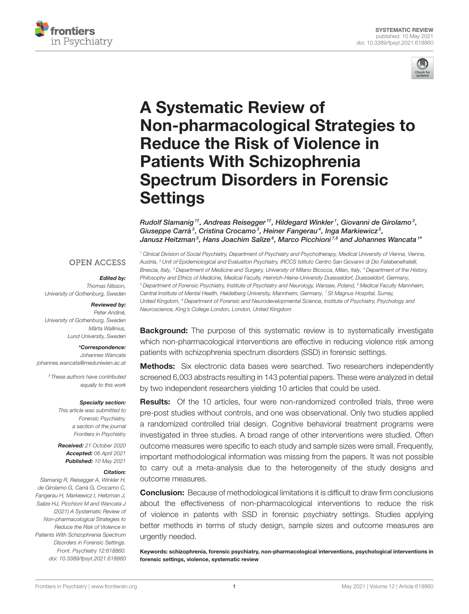



# A Systematic Review of [Non-pharmacological Strategies to](https://www.frontiersin.org/articles/10.3389/fpsyt.2021.618860/full) Reduce the Risk of Violence in Patients With Schizophrenia Spectrum Disorders in Forensic **Settings**

Rudolf Slamanig  $^{1\dagger}$ , Andreas Reisegger  $^{1\dagger}$ , Hildegard Winkler  $^1$ , Giovanni de Girolamo $^2$ , Giuseppe Carrà<sup>3</sup>, Cristina Crocamo<sup>3</sup>, Heiner Fangerau<sup>4</sup>, Inga Markiewicz<sup>5</sup>, Janusz Heitzman $^5$ , Hans Joachim Salize $^6$ , Marco Picchioni $^{7,8}$  and Johannes Wancata  $^{1*}$ 

### **OPEN ACCESS**

### Edited by:

Thomas Nilsson, University of Gothenburg, Sweden

### Reviewed by:

Peter Andiné, University of Gothenburg, Sweden Märta Wallinius, Lund University, Sweden

### \*Correspondence:

Johannes Wancata [johannes.wancata@meduniwien.ac.at](mailto:johannes.wancata@meduniwien.ac.at)

> †These authors have contributed equally to this work

### Specialty section:

This article was submitted to Forensic Psychiatry, a section of the journal Frontiers in Psychiatry

Received: 21 October 2020 Accepted: 06 April 2021 Published: 10 May 2021

### Citation:

Slamanig R, Reisegger A, Winkler H, de Girolamo G, Carrà G, Crocamo C, Fangerau H, Markiewicz I, Heitzman J, Salize HJ, Picchioni M and Wancata J (2021) A Systematic Review of Non-pharmacological Strategies to Reduce the Risk of Violence in Patients With Schizophrenia Spectrum Disorders in Forensic Settings. Front. Psychiatry 12:618860. doi: [10.3389/fpsyt.2021.618860](https://doi.org/10.3389/fpsyt.2021.618860)

<sup>1</sup> Clinical Division of Social Psychiatry, Department of Psychiatry and Psychotherapy, Medical University of Vienna, Vienna, Austria, <sup>2</sup> Unit of Epidemiological and Evaluation Psychiatry, IRCCS Istituto Centro San Giovanni di Dio Fatebenefratelli, Brescia, Italy, <sup>3</sup> Department of Medicine and Surgery, University of Milano Bicocca, Milan, Italy, <sup>4</sup> Department of the History, Philosophy and Ethics of Medicine, Medical Faculty, Heinrich-Heine-University Duesseldorf, Duesseldorf, Germany, <sup>5</sup> Department of Forensic Psychiatry, Institute of Psychiatry and Neurology, Warsaw, Poland, <sup>6</sup> Medical Faculty Mannheim, Central Institute of Mental Health, Heidelberg University, Mannheim, Germany, <sup>7</sup> St Magnus Hospital, Surrey, United Kingdom, <sup>8</sup> Department of Forensic and Neurodevelopmental Science, Institute of Psychiatry, Psychology and Neuroscience, King's College London, London, United Kingdom

**Background:** The purpose of this systematic review is to systematically investigate which non-pharmacological interventions are effective in reducing violence risk among patients with schizophrenia spectrum disorders (SSD) in forensic settings.

**Methods:** Six electronic data bases were searched. Two researchers independently screened 6,003 abstracts resulting in 143 potential papers. These were analyzed in detail by two independent researchers yielding 10 articles that could be used.

**Results:** Of the 10 articles, four were non-randomized controlled trials, three were pre-post studies without controls, and one was observational. Only two studies applied a randomized controlled trial design. Cognitive behavioral treatment programs were investigated in three studies. A broad range of other interventions were studied. Often outcome measures were specific to each study and sample sizes were small. Frequently, important methodological information was missing from the papers. It was not possible to carry out a meta-analysis due to the heterogeneity of the study designs and outcome measures.

**Conclusion:** Because of methodological limitations it is difficult to draw firm conclusions about the effectiveness of non-pharmacological interventions to reduce the risk of violence in patents with SSD in forensic psychiatry settings. Studies applying better methods in terms of study design, sample sizes and outcome measures are urgently needed.

Keywords: schizophrenia, forensic psychiatry, non-pharmacological interventions, psychological interventions in forensic settings, violence, systematic review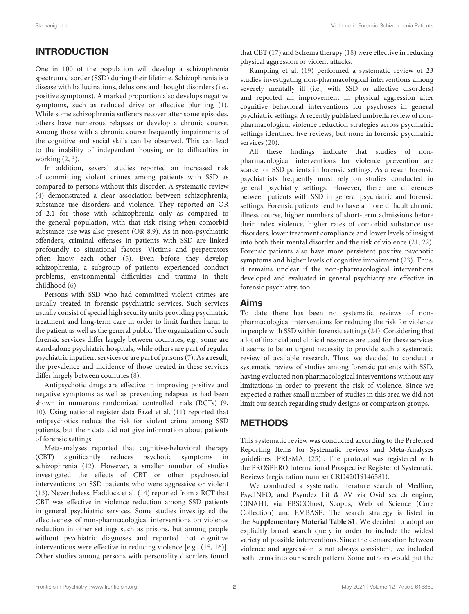# INTRODUCTION

One in 100 of the population will develop a schizophrenia spectrum disorder (SSD) during their lifetime. Schizophrenia is a disease with hallucinations, delusions and thought disorders (i.e., positive symptoms). A marked proportion also develops negative symptoms, such as reduced drive or affective blunting [\(1\)](#page-10-0). While some schizophrenia sufferers recover after some episodes, others have numerous relapses or develop a chronic course. Among those with a chronic course frequently impairments of the cognitive and social skills can be observed. This can lead to the inability of independent housing or to difficulties in working  $(2, 3)$  $(2, 3)$ .

In addition, several studies reported an increased risk of committing violent crimes among patients with SSD as compared to persons without this disorder. A systematic review [\(4\)](#page-10-3) demonstrated a clear association between schizophrenia, substance use disorders and violence. They reported an OR of 2.1 for those with schizophrenia only as compared to the general population, with that risk rising when comorbid substance use was also present (OR 8.9). As in non-psychiatric offenders, criminal offenses in patients with SSD are linked profoundly to situational factors. Victims and perpetrators often know each other [\(5\)](#page-10-4). Even before they develop schizophrenia, a subgroup of patients experienced conduct problems, environmental difficulties and trauma in their childhood [\(6\)](#page-10-5).

Persons with SSD who had committed violent crimes are usually treated in forensic psychiatric services. Such services usually consist of special high security units providing psychiatric treatment and long-term care in order to limit further harm to the patient as well as the general public. The organization of such forensic services differ largely between countries, e.g., some are stand-alone psychiatric hospitals, while others are part of regular psychiatric inpatient services or are part of prisons [\(7\)](#page-10-6). As a result, the prevalence and incidence of those treated in these services differ largely between countries [\(8\)](#page-10-7).

Antipsychotic drugs are effective in improving positive and negative symptoms as well as preventing relapses as had been shown in numerous randomized controlled trials (RCTs) [\(9,](#page-10-8) [10\)](#page-10-9). Using national register data Fazel et al. [\(11\)](#page-10-10) reported that antipsychotics reduce the risk for violent crime among SSD patients, but their data did not give information about patients of forensic settings.

Meta-analyses reported that cognitive-behavioral therapy (CBT) significantly reduces psychotic symptoms in schizophrenia [\(12\)](#page-10-11). However, a smaller number of studies investigated the effects of CBT or other psychosocial interventions on SSD patients who were aggressive or violent [\(13\)](#page-10-12). Nevertheless, Haddock et al. [\(14\)](#page-10-13) reported from a RCT that CBT was effective in violence reduction among SSD patients in general psychiatric services. Some studies investigated the effectiveness of non-pharmacological interventions on violence reduction in other settings such as prisons, but among people without psychiatric diagnoses and reported that cognitive interventions were effective in reducing violence [e.g., [\(15,](#page-10-14) [16\)](#page-10-15)]. Other studies among persons with personality disorders found that CBT [\(17\)](#page-10-16) and Schema therapy [\(18\)](#page-10-17) were effective in reducing physical aggression or violent attacks.

Rampling et al. [\(19\)](#page-10-18) performed a systematic review of 23 studies investigating non-pharmacological interventions among severely mentally ill (i.e., with SSD or affective disorders) and reported an improvement in physical aggression after cognitive behavioral interventions for psychoses in general psychiatric settings. A recently published umbrella review of nonpharmacological violence reduction strategies across psychiatric settings identified five reviews, but none in forensic psychiatric services [\(20\)](#page-10-19).

All these findings indicate that studies of nonpharmacological interventions for violence prevention are scarce for SSD patients in forensic settings. As a result forensic psychiatrists frequently must rely on studies conducted in general psychiatry settings. However, there are differences between patients with SSD in general psychiatric and forensic settings. Forensic patients tend to have a more difficult chronic illness course, higher numbers of short-term admissions before their index violence, higher rates of comorbid substance use disorders, lower treatment compliance and lower levels of insight into both their mental disorder and the risk of violence [\(21,](#page-10-20) [22\)](#page-10-21). Forensic patients also have more persistent positive psychotic symptoms and higher levels of cognitive impairment [\(23\)](#page-10-22). Thus, it remains unclear if the non-pharmacological interventions developed and evaluated in general psychiatry are effective in forensic psychiatry, too.

# Aims

To date there has been no systematic reviews of nonpharmacological interventions for reducing the risk for violence in people with SSD within forensic settings [\(24\)](#page-10-23). Considering that a lot of financial and clinical resources are used for these services it seems to be an urgent necessity to provide such a systematic review of available research. Thus, we decided to conduct a systematic review of studies among forensic patients with SSD, having evaluated non pharmacological interventions without any limitations in order to prevent the risk of violence. Since we expected a rather small number of studies in this area we did not limit our search regarding study designs or comparison groups.

# **METHODS**

This systematic review was conducted according to the Preferred Reporting Items for Systematic reviews and Meta-Analyses guidelines [PRISMA; [\(25\)](#page-10-24)]. The protocol was registered with the PROSPERO International Prospective Register of Systematic Reviews (registration number CRD42019146381).

We conducted a systematic literature search of Medline, PsycINFO, and Psyndex Lit & AV via Ovid search engine, CINAHL via EBSCOhost, Scopus, Web of Science (Core Collection) and EMBASE. The search strategy is listed in the **[Supplementary Material Table S1](#page-10-25)**. We decided to adopt an explicitly broad search query in order to include the widest variety of possible interventions. Since the demarcation between violence and aggression is not always consistent, we included both terms into our search pattern. Some authors would put the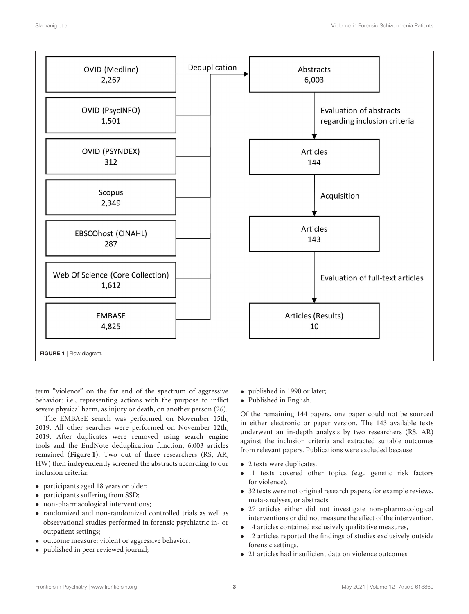

<span id="page-2-0"></span>term "violence" on the far end of the spectrum of aggressive behavior: i.e., representing actions with the purpose to inflict severe physical harm, as injury or death, on another person [\(26\)](#page-10-26).

The EMBASE search was performed on November 15th, 2019. All other searches were performed on November 12th, 2019. After duplicates were removed using search engine tools and the EndNote deduplication function, 6,003 articles remained (**[Figure 1](#page-2-0)**). Two out of three researchers (RS, AR, HW) then independently screened the abstracts according to our inclusion criteria:

- participants aged 18 years or older;
- participants suffering from SSD;
- non-pharmacological interventions;
- randomized and non-randomized controlled trials as well as observational studies performed in forensic psychiatric in- or outpatient settings;
- outcome measure: violent or aggressive behavior;
- published in peer reviewed journal;
- published in 1990 or later;
- Published in English.

Of the remaining 144 papers, one paper could not be sourced in either electronic or paper version. The 143 available texts underwent an in-depth analysis by two researchers (RS, AR) against the inclusion criteria and extracted suitable outcomes from relevant papers. Publications were excluded because:

- 2 texts were duplicates.
- 11 texts covered other topics (e.g., genetic risk factors for violence).
- 32 texts were not original research papers, for example reviews, meta-analyses, or abstracts.
- 27 articles either did not investigate non-pharmacological interventions or did not measure the effect of the intervention.
- 14 articles contained exclusively qualitative measures,
- 12 articles reported the findings of studies exclusively outside forensic settings.
- 21 articles had insufficient data on violence outcomes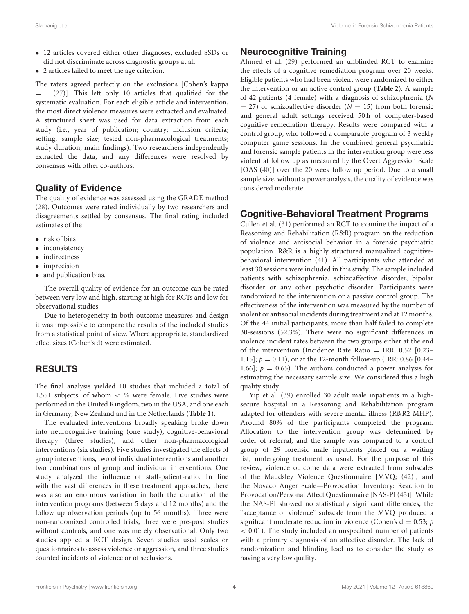- 12 articles covered either other diagnoses, excluded SSDs or did not discriminate across diagnostic groups at all
- 2 articles failed to meet the age criterion.

The raters agreed perfectly on the exclusions [Cohen's kappa  $= 1$  [\(27\)](#page-10-27)]. This left only 10 articles that qualified for the systematic evaluation. For each eligible article and intervention, the most direct violence measures were extracted and evaluated. A structured sheet was used for data extraction from each study (i.e., year of publication; country; inclusion criteria; setting; sample size; tested non-pharmacological treatments; study duration; main findings). Two researchers independently extracted the data, and any differences were resolved by consensus with other co-authors.

# Quality of Evidence

The quality of evidence was assessed using the GRADE method [\(28\)](#page-11-0). Outcomes were rated individually by two researchers and disagreements settled by consensus. The final rating included estimates of the

- risk of bias
- inconsistency
- indirectness
- imprecision
- and publication bias.

The overall quality of evidence for an outcome can be rated between very low and high, starting at high for RCTs and low for observational studies.

Due to heterogeneity in both outcome measures and design it was impossible to compare the results of the included studies from a statistical point of view. Where appropriate, standardized effect sizes (Cohen's d) were estimated.

# RESULTS

The final analysis yielded 10 studies that included a total of 1,551 subjects, of whom <1% were female. Five studies were performed in the United Kingdom, two in the USA, and one each in Germany, New Zealand and in the Netherlands (**[Table 1](#page-4-0)**).

The evaluated interventions broadly speaking broke down into neurocognitive training (one study), cognitive-behavioral therapy (three studies), and other non-pharmacological interventions (six studies). Five studies investigated the effects of group interventions, two of individual interventions and another two combinations of group and individual interventions. One study analyzed the influence of staff-patient-ratio. In line with the vast differences in these treatment approaches, there was also an enormous variation in both the duration of the intervention programs (between 5 days and 12 months) and the follow up observation periods (up to 56 months). Three were non-randomized controlled trials, three were pre-post studies without controls, and one was merely observational. Only two studies applied a RCT design. Seven studies used scales or questionnaires to assess violence or aggression, and three studies counted incidents of violence or of seclusions.

# Neurocognitive Training

Ahmed et al. [\(29\)](#page-11-1) performed an unblinded RCT to examine the effects of a cognitive remediation program over 20 weeks. Eligible patients who had been violent were randomized to either the intervention or an active control group (**[Table 2](#page-5-0)**). A sample of 42 patients (4 female) with a diagnosis of schizophrenia (N  $=$  27) or schizoaffective disorder ( $N = 15$ ) from both forensic and general adult settings received 50 h of computer-based cognitive remediation therapy. Results were compared with a control group, who followed a comparable program of 3 weekly computer game sessions. In the combined general psychiatric and forensic sample patients in the intervention group were less violent at follow up as measured by the Overt Aggression Scale [OAS [\(40\)](#page-11-2)] over the 20 week follow up period. Due to a small sample size, without a power analysis, the quality of evidence was considered moderate.

# Cognitive-Behavioral Treatment Programs

Cullen et al. [\(31\)](#page-11-3) performed an RCT to examine the impact of a Reasoning and Rehabilitation (R&R) program on the reduction of violence and antisocial behavior in a forensic psychiatric population. R&R is a highly structured manualized cognitivebehavioral intervention [\(41\)](#page-11-4). All participants who attended at least 30 sessions were included in this study. The sample included patients with schizophrenia, schizoaffective disorder, bipolar disorder or any other psychotic disorder. Participants were randomized to the intervention or a passive control group. The effectiveness of the intervention was measured by the number of violent or antisocial incidents during treatment and at 12 months. Of the 44 initial participants, more than half failed to complete 30-sessions (52.3%). There were no significant differences in violence incident rates between the two groups either at the end of the intervention (Incidence Rate Ratio = IRR: 0.52 [0.23– 1.15];  $p = 0.11$ , or at the 12-month follow-up (IRR: 0.86 [0.44– 1.66];  $p = 0.65$ ). The authors conducted a power analysis for estimating the necessary sample size. We considered this a high quality study.

Yip et al. [\(39\)](#page-11-5) enrolled 30 adult male inpatients in a highsecure hospital in a Reasoning and Rehabilitation program adapted for offenders with severe mental illness (R&R2 MHP). Around 80% of the participants completed the program. Allocation to the intervention group was determined by order of referral, and the sample was compared to a control group of 29 forensic male inpatients placed on a waiting list, undergoing treatment as usual. For the purpose of this review, violence outcome data were extracted from subscales of the Maudsley Violence Questionnaire [MVQ; [\(42\)](#page-11-6)], and the Novaco Anger Scale—Provocation Inventory: Reaction to Provocation/Personal Affect Questionnaire [NAS-PI [\(43\)](#page-11-7)]. While the NAS-PI showed no statistically significant differences, the "acceptance of violence" subscale from the MVQ produced a significant moderate reduction in violence (Cohen's  $d = 0.53$ ; p < 0.01). The study included an unspecified number of patients with a primary diagnosis of an affective disorder. The lack of randomization and blinding lead us to consider the study as having a very low quality.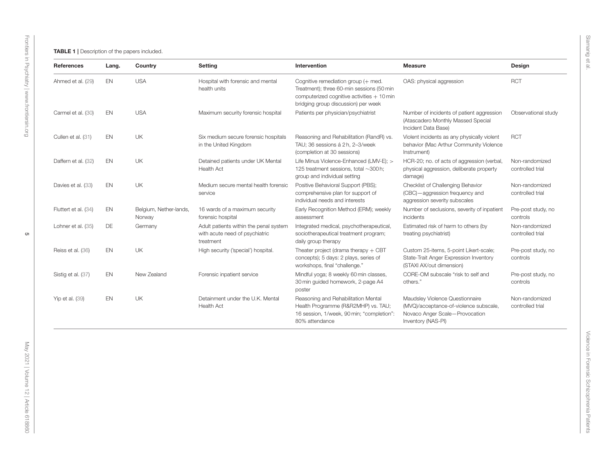<span id="page-4-0"></span>

| References           | Lang.     | Country                          | Setting                                                                               | Intervention                                                                                                                                                           | <b>Measure</b>                                                                                                                    | Design                             |
|----------------------|-----------|----------------------------------|---------------------------------------------------------------------------------------|------------------------------------------------------------------------------------------------------------------------------------------------------------------------|-----------------------------------------------------------------------------------------------------------------------------------|------------------------------------|
| Ahmed et al. (29)    | EN        | <b>USA</b>                       | Hospital with forensic and mental<br>health units                                     | Cognitive remediation group (+ med.<br>Treatment); three 60-min sessions (50 min<br>computerized cognitive activities $+10$ min<br>bridging group discussion) per week | OAS: physical aggression                                                                                                          | <b>RCT</b>                         |
| Carmel et al. (30)   | EN        | <b>USA</b>                       | Maximum security forensic hospital                                                    | Patients per physician/psychiatrist                                                                                                                                    | Number of incidents of patient aggression<br>(Atascadero Monthly Massed Special<br>Incident Data Base)                            | Observational study                |
| Cullen et al. (31)   | EN        | <b>UK</b>                        | Six medium secure forensic hospitals<br>in the United Kingdom                         | Reasoning and Rehabilitation (RandR) vs.<br>TAU; 36 sessions á 2h, 2-3/week<br>(completion at 30 sessions)                                                             | Violent incidents as any physically violent<br>behavior (Mac Arthur Community Violence<br>Instrument)                             | <b>RCT</b>                         |
| Daffern et al. (32)  | EN        | UK                               | Detained patients under UK Mental<br>Health Act                                       | Life Minus Violence-Enhanced (LMV-E); ><br>125 treatment sessions, total ~300 h;<br>group and individual setting                                                       | HCR-20; no. of acts of aggression (verbal,<br>physical aggression, deliberate property<br>damage)                                 | Non-randomized<br>controlled trial |
| Davies et al. (33)   | EN        | UK                               | Medium secure mental health forensic<br>service                                       | Positive Behavioral Support (PBS);<br>comprehensive plan for support of<br>individual needs and interests                                                              | Checklist of Challenging Behavior<br>(CBC) - aggression frequency and<br>aggression severity subscales                            | Non-randomized<br>controlled trial |
| Fluttert et al. (34) | EN        | Belgium, Nether-lands,<br>Norway | 16 wards of a maximum security<br>forensic hospital                                   | Early Recognition Method (ERM); weekly<br>assessment                                                                                                                   | Number of seclusions, severity of inpatient<br>incidents                                                                          | Pre-post study, no<br>controls     |
| Lohner et al. (35)   | DE        | Germany                          | Adult patients within the penal system<br>with acute need of psychiatric<br>treatment | Integrated medical, psychotherapeutical,<br>sociotherapeutical treatment program;<br>daily group therapy                                                               | Estimated risk of harm to others (by<br>treating psychiatrist)                                                                    | Non-randomized<br>controlled trial |
| Reiss et al. (36)    | EN        | <b>UK</b>                        | High security ('special') hospital.                                                   | Theater project (drama therapy $+$ CBT<br>concepts); 5 days: 2 plays, series of<br>workshops, final "challenge."                                                       | Custom 25-items, 5-point Likert-scale;<br>State-Trait Anger Expression Inventory<br>(STAXI AX/out dimension)                      | Pre-post study, no<br>controls     |
| Sistig et al. (37)   | <b>EN</b> | New Zealand                      | Forensic inpatient service                                                            | Mindful yoga; 8 weekly 60 min classes,<br>30 min guided homework, 2-page A4<br>poster                                                                                  | CORE-OM subscale "risk to self and<br>others."                                                                                    | Pre-post study, no<br>controls     |
| Yip et al. (39)      | EN        | UK                               | Detainment under the U.K. Mental<br><b>Health Act</b>                                 | Reasoning and Rehabilitation Mental<br>Health Programme (R&R2MHP) vs. TAU;<br>16 session, 1/week, 90 min; "completion":<br>80% attendance                              | Maudsley Violence Questionnaire<br>(MVQ)/acceptance-of-violence subscale,<br>Novaco Anger Scale-Provocation<br>Inventory (NAS-PI) | Non-randomized<br>controlled trial |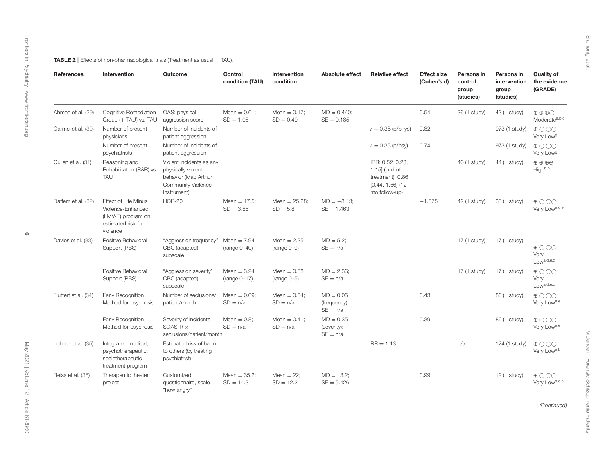| References           | Intervention                                                                                             | <b>Outcome</b>                                                                                                     | Control<br>condition (TAU)      | Intervention<br>condition      | Absolute effect                           | <b>Relative effect</b>                                                                       | <b>Effect size</b><br>(Cohen's d) | Persons in<br>control<br>group<br>(studies) | Persons in<br>intervention<br>group<br>(studies) | <b>Quality of</b><br>the evidence<br>(GRADE)                |
|----------------------|----------------------------------------------------------------------------------------------------------|--------------------------------------------------------------------------------------------------------------------|---------------------------------|--------------------------------|-------------------------------------------|----------------------------------------------------------------------------------------------|-----------------------------------|---------------------------------------------|--------------------------------------------------|-------------------------------------------------------------|
| Ahmed et al. (29)    | <b>Cognitive Remediation</b><br>Group (+ TAU) vs. TAU                                                    | OAS: physical<br>aggression score                                                                                  | Mean $= 0.61$ :<br>$SD = 1.08$  | Mean $= 0.17$ :<br>$SD = 0.49$ | $MD = 0.440$ :<br>$SE = 0.185$            |                                                                                              | 0.54                              | 36 (1 study)                                | 42 (1 study)                                     | $\oplus$ $\oplus$ $\odot$<br>Moderate <sup>a,b,c</sup>      |
| Carmel et al. (30)   | Number of present<br>physicians                                                                          | Number of incidents of<br>patient aggression                                                                       |                                 |                                |                                           | $r = 0.38$ (p/phys)                                                                          | 0.82                              |                                             | 973 (1 study)                                    | $\oplus$ $\odot$ $\odot$ $\odot$<br>Very Low <sup>g</sup>   |
|                      | Number of present<br>psychiatrists                                                                       | Number of incidents of<br>patient aggression                                                                       |                                 |                                |                                           | $r = 0.35$ (p/psy)                                                                           | 0.74                              |                                             | 973 (1 study)                                    | $\oplus$ 000<br>Very Low <sup>g</sup>                       |
| Cullen et al. (31)   | Reasoning and<br>Rehabilitation (R&R) vs.<br><b>TAU</b>                                                  | Violent incidents as any<br>physically violent<br>behavior (Mac Arthur<br><b>Community Violence</b><br>Instrument) |                                 |                                |                                           | IRR: 0.52 [0.23,<br>1.15] (end of<br>treatment); 0.86<br>$[0.44, 1.66]$ (12<br>mo follow-up) |                                   | 40 (1 study)                                | 44 (1 study)                                     | $\oplus \oplus \oplus \oplus$<br>High <sup>b,h</sup>        |
| Daffern et al. (32)  | <b>Effect of Life Minus</b><br>Violence-Enhanced<br>(LMV-E) program on<br>estimated risk for<br>violence | <b>HCR-20</b>                                                                                                      | Mean $= 17.5$ ;<br>$SD = 3.86$  | Mean = $25.28$ ;<br>$SD = 5.8$ | $MD = -8.13$ ;<br>$SE = 1.463$            |                                                                                              | $-1.575$                          | 42 (1 study)                                | 33 (1 study)                                     | $\oplus$ $\odot$ $\odot$ $\odot$<br>Very Lowa, d,e,i        |
| Davies et al. (33)   | Positive Behavioral<br>Support (PBS)                                                                     | "Aggression frequency"<br>CBC (adapted)<br>subscale                                                                | Mean $= 7.94$<br>$(range 0-40)$ | Mean $= 2.35$<br>$(range 0-9)$ | $MD = 5.2$ ;<br>$SE = n/a$                |                                                                                              |                                   | 17 (1 study)                                | 17 (1 study)                                     | $\oplus$ $\odot$ $\odot$ $\odot$<br>Very<br>$Low^{a,d,e,g}$ |
|                      | Positive Behavioral<br>Support (PBS)                                                                     | "Aggression severity"<br>CBC (adapted)<br>subscale                                                                 | Mean $= 3.24$<br>$(range 0-17)$ | $Mean = 0.88$<br>$(range 0-5)$ | $MD = 2.36$<br>$SE = n/a$                 |                                                                                              |                                   | 17 (1 study)                                | 17 (1 study)                                     | $\oplus$ 000<br>Very<br>Low <sup>a,d,e,g</sup>              |
| Fluttert et al. (34) | Early Recognition<br>Method for psychosis                                                                | Number of seclusions/<br>patient/month                                                                             | Mean $= 0.09$ ;<br>$SD = n/a$   | Mean $= 0.04$ ;<br>$SD = n/a$  | $MD = 0.05$<br>(frequency);<br>$SE = n/a$ |                                                                                              | 0.43                              |                                             | 86 (1 study)                                     | $\oplus$ $\odot$ $\odot$ $\odot$<br>Very Lowa,e             |
|                      | Early Recognition<br>Method for psychosis                                                                | Severity of incidents.<br>SOAS-R $\times$<br>seclusions/patient/month                                              | Mean $= 0.8$ ;<br>$SD = n/a$    | Mean $= 0.41$ ;<br>$SD = n/a$  | $MD = 0.35$<br>(severity);<br>$SE = n/a$  |                                                                                              | 0.39                              |                                             | 86 (1 study)                                     | $\oplus$ 000<br>Very Lowa,e                                 |
| Lohner et al. (35)   | Integrated medical,<br>psychotherapeutic,<br>sociotherapeutic<br>treatment program                       | Estimated risk of harm<br>to others (by treating<br>psychiatrist)                                                  |                                 |                                |                                           | $RR = 1.13$                                                                                  |                                   | n/a                                         | 124 (1 study)                                    | $\oplus$ $\odot$ $\odot$<br>Very Lowa, b,i                  |
| Reiss et al. (36)    | Therapeutic theater<br>project                                                                           | Customized<br>questionnaire, scale<br>"how angry"                                                                  | Mean $= 35.2$ ;<br>$SD = 14.3$  | Mean $= 22$ ;<br>$SD = 12.2$   | $MD = 13.2$ ;<br>$SE = 5.426$             |                                                                                              | 0.99                              |                                             | 12 (1 study)                                     | $\oplus$ 000<br>Very Lowa, d, e,j                           |
|                      |                                                                                                          |                                                                                                                    |                                 |                                |                                           |                                                                                              |                                   |                                             |                                                  | (Continued)                                                 |

<span id="page-5-0"></span> $\circ$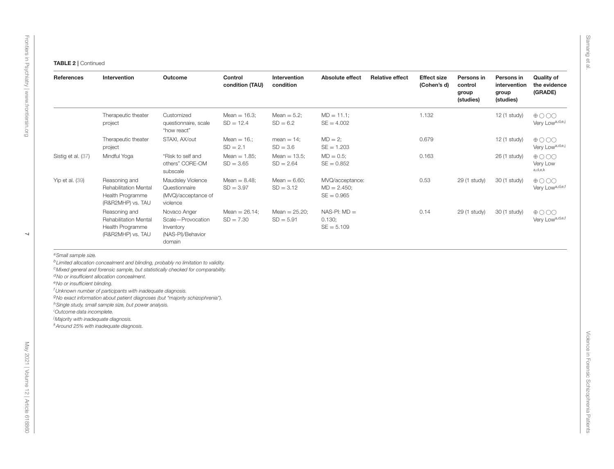$\overline{\phantom{0}}$ 

| References                                                                                             | Intervention                                                                                                                                                                                                                                                                                                                                                                                                                                                                                         | Outcome                                                                       | Control<br>condition (TAU)      | Intervention<br>condition       | Absolute effect                                  | <b>Relative effect</b> | <b>Effect size</b><br>(Cohen's d) | Persons in<br>control<br>group<br>(studies) | Persons in<br>intervention<br>group<br>(studies) | <b>Quality of</b><br>the evidence<br>(GRADE)            |
|--------------------------------------------------------------------------------------------------------|------------------------------------------------------------------------------------------------------------------------------------------------------------------------------------------------------------------------------------------------------------------------------------------------------------------------------------------------------------------------------------------------------------------------------------------------------------------------------------------------------|-------------------------------------------------------------------------------|---------------------------------|---------------------------------|--------------------------------------------------|------------------------|-----------------------------------|---------------------------------------------|--------------------------------------------------|---------------------------------------------------------|
|                                                                                                        | Therapeutic theater<br>project                                                                                                                                                                                                                                                                                                                                                                                                                                                                       | Customized<br>questionnaire, scale<br>"how react"                             | Mean $= 16.3$ ;<br>$SD = 12.4$  | Mean $= 5.2$ ;<br>$SD = 6.2$    | $MD = 11.1$ ;<br>$SE = 4.002$                    |                        | 1.132                             |                                             | 12 (1 study)                                     | $\oplus$ O OO<br>Very Lowa, d,e,j                       |
|                                                                                                        | Therapeutic theater<br>project                                                                                                                                                                                                                                                                                                                                                                                                                                                                       | STAXI, AX/out                                                                 | Mean $= 16$ .;<br>$SD = 2.1$    | $mean = 14$ ;<br>$SD = 3.6$     | $MD = 2$ ;<br>$SE = 1.203$                       |                        | 0.679                             |                                             | 12 (1 study)                                     | $\oplus \bigcirc \bigcirc \bigcirc$<br>Very Lowa, d,e,j |
| Sistig et al. (37)                                                                                     | Mindful Yoga                                                                                                                                                                                                                                                                                                                                                                                                                                                                                         | "Risk to self and<br>others" CORE-OM<br>subscale                              | Mean $= 1.85$ ;<br>$SD = 3.65$  | Mean $= 13.5$ ;<br>$SD = 2.64$  | $MD = 0.5$ ;<br>$SE = 0.852$                     |                        | 0.163                             |                                             | 26 (1 study)                                     | $\oplus$ OO<br>Very Low<br>a,d,e,k                      |
| Yip et al. (39)                                                                                        | Reasoning and<br>Rehabilitation Mental<br>Health Programme<br>(R&R2MHP) vs. TAU                                                                                                                                                                                                                                                                                                                                                                                                                      | Maudsley Violence<br>Questionnaire<br>(MVQ)/acceptance of<br>violence         | Mean $= 8.48$ ;<br>$SD = 3.97$  | Mean $= 6.60$ ;<br>$SD = 3.12$  | MVQ/acceptance:<br>$MD = 2.450;$<br>$SE = 0.965$ |                        | 0.53                              | 29 (1 study)                                | 30 (1 study)                                     | $\oplus$ OO<br>Very Low <sup>a,d,e,f</sup>              |
|                                                                                                        | Reasoning and<br>Rehabilitation Mental<br>Health Programme<br>(R&R2MHP) vs. TAU                                                                                                                                                                                                                                                                                                                                                                                                                      | Novaco Anger<br>Scale-Provocation<br>Inventory<br>(NAS-PI)/Behavior<br>domain | Mean = $26.14$ ;<br>$SD = 7.30$ | Mean = $25.20$ ;<br>$SD = 5.91$ | $NAS-PI: MD =$<br>0.130;<br>$SE = 5.109$         |                        | 0.14                              | 29 (1 study)                                | 30 (1 study)                                     | $\oplus$ OO<br>Very Lowa, d,e,f                         |
| <sup>e</sup> No or insufficient blinding.<br><sup>i</sup> Outcome data incomplete.                     | <sup>b</sup> Limited allocation concealment and blinding, probably no limitation to validity.<br><sup>c</sup> Mixed general and forensic sample, but statistically checked for comparability.<br><sup>d</sup> No or insufficient allocation concealment.<br><sup>f</sup> Unknown number of participants with inadequate diagnosis.<br><sup>g</sup> No exact information about patient diagnoses (but "majority schizophrenia").<br><sup>h</sup> Single study, small sample size, but power analysis. |                                                                               |                                 |                                 |                                                  |                        |                                   |                                             |                                                  |                                                         |
| <sup>j</sup> Majority with inadequate diagnosis.<br><sup>k</sup> Around 25% with inadequate diagnosis. |                                                                                                                                                                                                                                                                                                                                                                                                                                                                                                      |                                                                               |                                 |                                 |                                                  |                        |                                   |                                             |                                                  |                                                         |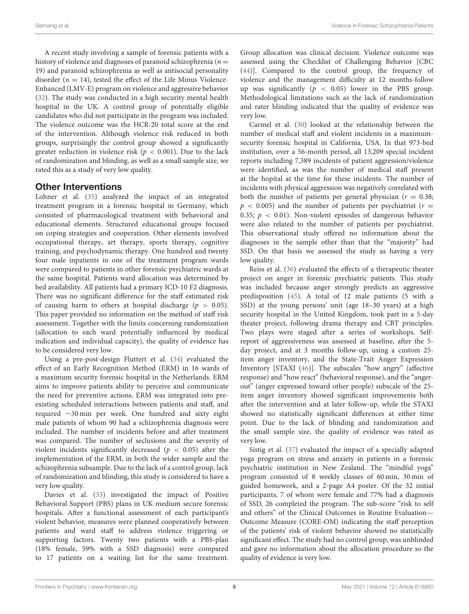A recent study involving a sample of forensic patients with a history of violence and diagnoses of paranoid schizophrenia ( $n =$ 19) and paranoid schizophrenia as well as antisocial personality disorder ( $n = 14$ ), tested the effect of the Life Minus Violence-Enhanced (LMV-E) program on violence and aggressive behavior [\(32\)](#page-11-18). The study was conducted in a high security mental health hospital in the UK. A control group of potentially eligible candidates who did not participate in the program was included. The violence outcome was the HCR-20 total score at the end of the intervention. Although violence risk reduced in both groups, surprisingly the control group showed a significantly greater reduction in violence risk ( $p < 0.001$ ). Due to the lack of randomization and blinding, as well as a small sample size, we rated this as a study of very low quality.

# Other Interventions

Lohner et al. [\(35\)](#page-11-19) analyzed the impact of an integrated treatment program in a forensic hospital in Germany, which consisted of pharmacological treatment with behavioral and educational elements. Structured educational groups focused on coping strategies and cooperation. Other elements involved occupational therapy, art therapy, sports therapy, cognitive training, and psychodynamic therapy. One hundred and twenty four male inpatients in one of the treatment program wards were compared to patients in other forensic psychiatric wards at the same hospital. Patients ward allocation was determined by bed availability. All patients had a primary ICD-10 F2 diagnosis. There was no significant difference for the staff estimated risk of causing harm to others at hospital discharge ( $p > 0.05$ ). This paper provided no information on the method of staff risk assessment. Together with the limits concerning randomization (allocation to each ward potentially influenced by medical indication and individual capacity), the quality of evidence has to be considered very low.

Using a pre-post-design Fluttert et al. [\(34\)](#page-11-20) evaluated the effect of an Early Recognition Method (ERM) in 16 wards of a maximum security forensic hospital in the Netherlands. ERM aims to improve patients ability to perceive and communicate the need for preventive actions. ERM was integrated into preexisting scheduled interactions between patients and staff, and required ∼30 min per week. One hundred and sixty eight male patients of whom 90 had a schizophrenia diagnosis were included. The number of incidents before and after treatment was compared. The number of seclusions and the severity of violent incidents significantly decreased ( $p < 0.05$ ) after the implementation of the ERM, in both the wider sample and the schizophrenia subsample. Due to the lack of a control group, lack of randomization and blinding, this study is considered to have a very low quality.

Davies et al. [\(33\)](#page-11-21) investigated the impact of Positive Behavioral Support (PBS) plans in UK medium secure forensic hospitals. After a functional assessment of each participant's violent behavior, measures were planned cooperatively between patients and ward staff to address violence triggering or supporting factors. Twenty two patients with a PBS-plan (18% female, 59% with a SSD diagnosis) were compared to 17 patients on a waiting list for the same treatment. Group allocation was clinical decision. Violence outcome was assessed using the Checklist of Challenging Behavior [CBC [\(44\)](#page-11-22)]. Compared to the control group, the frequency of violence and the management difficulty at 12 months-follow up was significantly ( $p < 0.05$ ) lower in the PBS group. Methodological limitations such as the lack of randomization and rater blinding indicated that the quality of evidence was very low.

Carmel et al. [\(30\)](#page-11-23) looked at the relationship between the number of medical staff and violent incidents in a maximumsecurity forensic hospital in California, USA. In that 973-bed institution, over a 56-month period, all 13,209 special incident reports including 7,389 incidents of patient aggression/violence were identified, as was the number of medical staff present at the hopital at the time for these incidents. The number of incidents with physical aggression was negatively correlated with both the number of patients per general physician ( $r = 0.38$ ;  $p < 0.005$ ) and the number of patients per psychiatrist ( $r =$ 0.35;  $p < 0.01$ ). Non-violent episodes of dangerous behavior were also related to the number of patients per psychiatrist. This observational study offered no information about the diagnoses in the sample other than that the "majority" had SSD. On that basis we assessed the study as having a very low quality.

Reiss et al. [\(36\)](#page-11-24) evaluated the effects of a therapeutic theater project on anger in forensic psychiatric patients. This study was included because anger strongly predicts an aggressive predisposition [\(45\)](#page-11-25). A total of 12 male patients (5 with a SSD) at the young persons' unit (age 18–30 years) at a high security hospital in the United Kingdom, took part in a 5-day theater project, following drama therapy and CBT principles. Two plays were staged after a series of workshops. Selfreport of aggressiveness was assessed at baseline, after the 5 day project, and at 3 months follow-up, using a custom 25 item anger inventory, and the State-Trait Anger Expression Inventory [STAXI [\(46\)](#page-11-26)]. The subscales "how angry" (affective response) and "how react" (behavioral response), and the "angerout" (anger expressed toward other people) subscale of the 25 item anger inventory showed significant improvements both after the intervention and at later follow-up, while the STAXI showed no statistically significant differences at either time point. Due to the lack of blinding and randomization and the small sample size, the quality of evidence was rated as very low.

Sistig et al. [\(37\)](#page-11-27) evaluated the impact of a specially adapted yoga program on stress and anxiety in patients in a forensic psychiatric institution in New Zealand. The "mindful yoga" program consisted of 8 weekly classes of 60 min, 30 min of guided homework, and a 2-page A4 poster. Of the 32 initial participants, 7 of whom were female and 77% had a diagnosis of SSD, 26 completed the program. The sub-score "risk to self and others" of the Clinical Outcomes in Routine Evaluation— Outcome Measure (CORE-OM) indicating the staff perception of the patients' risk of violent behavior showed no statistically significant effect. The study had no control group, was unblinded and gave no information about the allocation procedure so the quality of evidence is very low.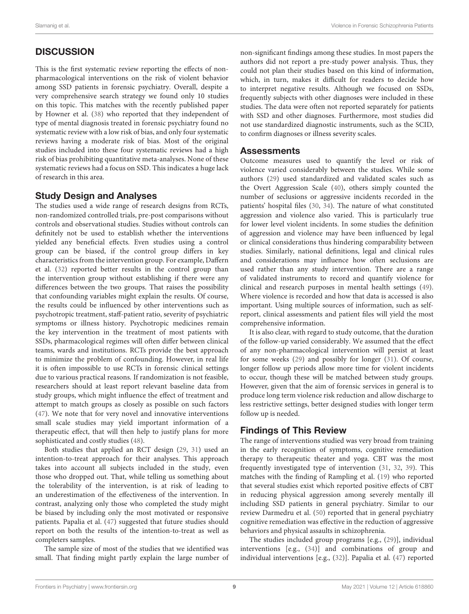# **DISCUSSION**

This is the first systematic review reporting the effects of nonpharmacological interventions on the risk of violent behavior among SSD patients in forensic psychiatry. Overall, despite a very comprehensive search strategy we found only 10 studies on this topic. This matches with the recently published paper by Howner et al. [\(38\)](#page-11-28) who reported that they independent of type of mental diagnosis treated in forensic psychiatry found no systematic review with a low risk of bias, and only four systematic reviews having a moderate risk of bias. Most of the original studies included into these four systematic reviews had a high risk of bias prohibiting quantitative meta-analyses. None of these systematic reviews had a focus on SSD. This indicates a huge lack of research in this area.

# Study Design and Analyses

The studies used a wide range of research designs from RCTs, non-randomized controlled trials, pre-post comparisons without controls and observational studies. Studies without controls can definitely not be used to establish whether the interventions yielded any beneficial effects. Even studies using a control group can be biased, if the control group differs in key characteristics from the intervention group. For example, Daffern et al. [\(32\)](#page-11-18) reported better results in the control group than the intervention group without establishing if there were any differences between the two groups. That raises the possibility that confounding variables might explain the results. Of course, the results could be influenced by other interventions such as psychotropic treatment, staff-patient ratio, severity of psychiatric symptoms or illness history. Psychotropic medicines remain the key intervention in the treatment of most patients with SSDs, pharmacological regimes will often differ between clinical teams, wards and institutions. RCTs provide the best approach to minimize the problem of confounding. However, in real life it is often impossible to use RCTs in forensic clinical settings due to various practical reasons. If randomization is not feasible, researchers should at least report relevant baseline data from study groups, which might influence the effect of treatment and attempt to match groups as closely as possible on such factors [\(47\)](#page-11-29). We note that for very novel and innovative interventions small scale studies may yield important information of a therapeutic effect, that will then help to justify plans for more sophisticated and costly studies [\(48\)](#page-11-30).

Both studies that applied an RCT design [\(29,](#page-11-1) [31\)](#page-11-3) used an intention-to-treat approach for their analyses. This approach takes into account all subjects included in the study, even those who dropped out. That, while telling us something about the tolerability of the intervention, is at risk of leading to an underestimation of the effectiveness of the intervention. In contrast, analyzing only those who completed the study might be biased by including only the most motivated or responsive patients. Papalia et al. [\(47\)](#page-11-29) suggested that future studies should report on both the results of the intention-to-treat as well as completers samples.

The sample size of most of the studies that we identified was small. That finding might partly explain the large number of non-significant findings among these studies. In most papers the authors did not report a pre-study power analysis. Thus, they could not plan their studies based on this kind of information, which, in turn, makes it difficult for readers to decide how to interpret negative results. Although we focused on SSDs, frequently subjects with other diagnoses were included in these studies. The data were often not reported separately for patients with SSD and other diagnoses. Furthermore, most studies did not use standardized diagnostic instruments, such as the SCID, to confirm diagnoses or illness severity scales.

# Assessments

Outcome measures used to quantify the level or risk of violence varied considerably between the studies. While some authors [\(29\)](#page-11-1) used standardized and validated scales such as the Overt Aggression Scale [\(40\)](#page-11-2), others simply counted the number of seclusions or aggressive incidents recorded in the patients' hospital files [\(30,](#page-11-23) [34\)](#page-11-20). The nature of what constituted aggression and violence also varied. This is particularly true for lower level violent incidents. In some studies the definition of aggression and violence may have been influenced by legal or clinical considerations thus hindering comparability between studies. Similarly, national definitions, legal and clinical rules and considerations may influence how often seclusions are used rather than any study intervention. There are a range of validated instruments to record and quantify violence for clinical and research purposes in mental health settings [\(49\)](#page-11-31). Where violence is recorded and how that data is accessed is also important. Using multiple sources of information, such as selfreport, clinical assessments and patient files will yield the most comprehensive information.

It is also clear, with regard to study outcome, that the duration of the follow-up varied considerably. We assumed that the effect of any non-pharmacological intervention will persist at least for some weeks [\(29\)](#page-11-1) and possibly for longer [\(31\)](#page-11-3). Of course, longer follow up periods allow more time for violent incidents to occur, though these will be matched between study groups. However, given that the aim of forensic services in general is to produce long term violence risk reduction and allow discharge to less restrictive settings, better designed studies with longer term follow up is needed.

# Findings of This Review

The range of interventions studied was very broad from training in the early recognition of symptoms, cognitive remediation therapy to therapeutic theater and yoga. CBT was the most frequently investigated type of intervention [\(31,](#page-11-3) [32,](#page-11-18) [39\)](#page-11-5). This matches with the finding of Rampling et al. [\(19\)](#page-10-18) who reported that several studies exist which reported positive effects of CBT in reducing physical aggression among severely mentally ill including SSD patients in general psychiatry. Similar to our review Darmedru et al. [\(50\)](#page-11-32) reported that in general psychiatry cognitive remediation was effective in the reduction of aggressive behaviors and physical assaults in schizophrenia.

The studies included group programs [e.g., [\(29\)](#page-11-1)], individual interventions [e.g., [\(34\)](#page-11-20)] and combinations of group and individual interventions [e.g., [\(32\)](#page-11-18)]. Papalia et al. [\(47\)](#page-11-29) reported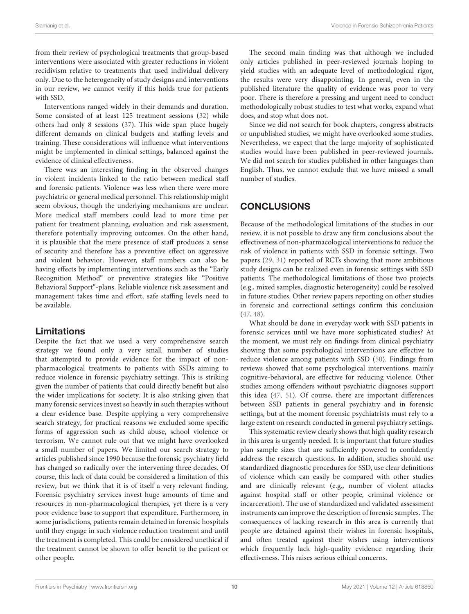from their review of psychological treatments that group-based interventions were associated with greater reductions in violent recidivism relative to treatments that used individual delivery only. Due to the heterogeneity of study designs and interventions in our review, we cannot verify if this holds true for patients with SSD.

Interventions ranged widely in their demands and duration. Some consisted of at least 125 treatment sessions [\(32\)](#page-11-18) while others had only 8 sessions [\(37\)](#page-11-27). This wide span place hugely different demands on clinical budgets and staffing levels and training. These considerations will influence what interventions might be implemented in clinical settings, balanced against the evidence of clinical effectiveness.

There was an interesting finding in the observed changes in violent incidents linked to the ratio between medical staff and forensic patients. Violence was less when there were more psychiatric or general medical personnel. This relationship might seem obvious, though the underlying mechanisms are unclear. More medical staff members could lead to more time per patient for treatment planning, evaluation and risk assessment, therefore potentially improving outcomes. On the other hand, it is plausible that the mere presence of staff produces a sense of security and therefore has a preventive effect on aggressive and violent behavior. However, staff numbers can also be having effects by implementing interventions such as the "Early Recognition Method" or preventive strategies like "Positive Behavioral Support"-plans. Reliable violence risk assessment and management takes time and effort, safe staffing levels need to be available.

# Limitations

Despite the fact that we used a very comprehensive search strategy we found only a very small number of studies that attempted to provide evidence for the impact of nonpharmacological treatments to patients with SSDs aiming to reduce violence in forensic psychiatry settings. This is striking given the number of patients that could directly benefit but also the wider implications for society. It is also striking given that many forensic services invest so heavily in such therapies without a clear evidence base. Despite applying a very comprehensive search strategy, for practical reasons we excluded some specific forms of aggression such as child abuse, school violence or terrorism. We cannot rule out that we might have overlooked a small number of papers. We limited our search strategy to articles published since 1990 because the forensic psychiatry field has changed so radically over the intervening three decades. Of course, this lack of data could be considered a limitation of this review, but we think that it is of itself a very relevant finding. Forensic psychiatry services invest huge amounts of time and resources in non-pharmacological therapies, yet there is a very poor evidence base to support that expenditure. Furthermore, in some jurisdictions, patients remain detained in forensic hospitals until they engage in such violence reduction treatment and until the treatment is completed. This could be considered unethical if the treatment cannot be shown to offer benefit to the patient or other people.

The second main finding was that although we included only articles published in peer-reviewed journals hoping to yield studies with an adequate level of methodological rigor, the results were very disappointing. In general, even in the published literature the quality of evidence was poor to very poor. There is therefore a pressing and urgent need to conduct methodologically robust studies to test what works, expand what does, and stop what does not.

Since we did not search for book chapters, congress abstracts or unpublished studies, we might have overlooked some studies. Nevertheless, we expect that the large majority of sophisticated studies would have been published in peer-reviewed journals. We did not search for studies published in other languages than English. Thus, we cannot exclude that we have missed a small number of studies.

# **CONCLUSIONS**

Because of the methodological limitations of the studies in our review, it is not possible to draw any firm conclusions about the effectiveness of non-pharmacological interventions to reduce the risk of violence in patients with SSD in forensic settings. Two papers [\(29,](#page-11-1) [31\)](#page-11-3) reported of RCTs showing that more ambitious study designs can be realized even in forensic settings with SSD patients. The methodological limitations of those two projects (e.g., mixed samples, diagnostic heterogeneity) could be resolved in future studies. Other review papers reporting on other studies in forensic and correctional settings confirm this conclusion [\(47,](#page-11-29) [48\)](#page-11-30).

What should be done in everyday work with SSD patients in forensic services until we have more sophisticated studies? At the moment, we must rely on findings from clinical psychiatry showing that some psychological interventions are effective to reduce violence among patients with SSD [\(50\)](#page-11-32). Findings from reviews showed that some psychological interventions, mainly cognitive-behavioral, are effective for reducing violence. Other studies among offenders without psychiatric diagnoses support this idea [\(47,](#page-11-29) [51\)](#page-11-33). Of course, there are important differences between SSD patients in general psychiatry and in forensic settings, but at the moment forensic psychiatrists must rely to a large extent on research conducted in general psychiatry settings.

This systematic review clearly shows that high quality research in this area is urgently needed. It is important that future studies plan sample sizes that are sufficiently powered to confidently address the research questions. In addition, studies should use standardized diagnostic procedures for SSD, use clear definitions of violence which can easily be compared with other studies and are clinically relevant (e.g., number of violent attacks against hospital staff or other people, criminal violence or incarceration). The use of standardized and validated assessment instruments can improve the description of forensic samples. The consequences of lacking research in this area is currently that people are detained against their wishes in forensic hospitals, and often treated against their wishes using interventions which frequently lack high-quality evidence regarding their effectiveness. This raises serious ethical concerns.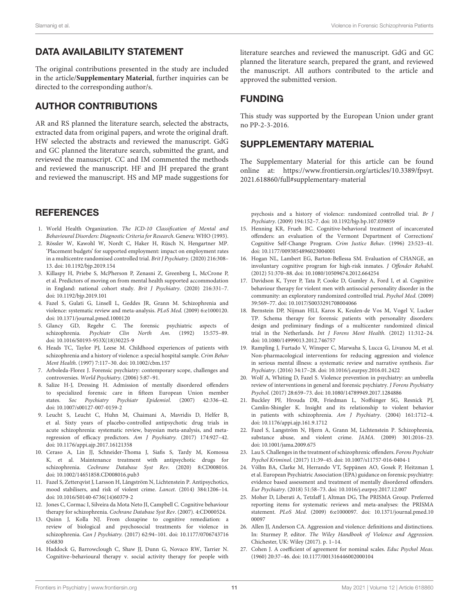# DATA AVAILABILITY STATEMENT

The original contributions presented in the study are included in the article/**[Supplementary Material](#page-10-25)**, further inquiries can be directed to the corresponding author/s.

# AUTHOR CONTRIBUTIONS

AR and RS planned the literature search, selected the abstracts, extracted data from original papers, and wrote the original draft. HW selected the abstracts and reviewed the manuscript. GdG and GC planned the literature search, submitted the grant, and reviewed the manuscript. CC and IM commented the methods and reviewed the manuscript. HF and JH prepared the grant and reviewed the manuscript. HS and MP made suggestions for

# **REFERENCES**

- <span id="page-10-0"></span>1. World Health Organization. The ICD-10 Classification of Mental and Behavioural Disorders: Diagnostic Criteria for Research. Geneva: WHO (1993).
- <span id="page-10-1"></span>2. Rössler W, Kawohl W, Nordt C, Haker H, Rüsch N, Hengartner MP. 'Placement budgets' for supported employment: impact on employment rates in a multicentre randomised controlled trial. Brit J Psychiatry. (2020) 216:308– 13. doi: [10.1192/bjp.2019.154](https://doi.org/10.1192/bjp.2019.154)
- <span id="page-10-2"></span>3. Killaspy H, Priebe S, McPherson P, Zenasni Z, Greenberg L, McCrone P, et al. Predictors of moving on from mental health supported accommodation in England: national cohort study. Brit J Psychiatry. (2020) 216:331–7. doi: [10.1192/bjp.2019.101](https://doi.org/10.1192/bjp.2019.101)
- <span id="page-10-3"></span>4. Fazel S, Gulati G, Linsell L, Geddes JR, Grann M. Schizophrenia and violence: systematic review and meta-analysis. PLoS Med. (2009) 6:e1000120. doi: [10.1371/journal.pmed.1000120](https://doi.org/10.1371/journal.pmed.1000120)
- <span id="page-10-4"></span>5. Glancy GD, Regehr C. The forensic psychiatric aspects of schizophrenia. Psychiatr Clin North Am. (1992) 15:575–89. doi: [10.1016/S0193-953X\(18\)30225-9](https://doi.org/10.1016/S0193-953X(18)30225-9)
- <span id="page-10-5"></span>6. Heads TC, Taylor PJ, Leese M. Childhood experiences of patients with schizophrenia and a history of violence: a special hospital sample. Crim Behav Ment Health. (1997) 7:117–30. doi: [10.1002/cbm.157](https://doi.org/10.1002/cbm.157)
- <span id="page-10-6"></span>7. Arboleda-Florez J. Forensic psychiatry: contemporary scope, challenges and controversies. World Psychiatry. (2006) 5:87–91.
- <span id="page-10-7"></span>8. Salize H-J, Dressing H. Admission of mentally disordered offenders to specialized forensic care in fifteen European Union member states. Soc Psychiatry Psychiatr Epidemiol. (2007) 42:336–42. doi: [10.1007/s00127-007-0159-2](https://doi.org/10.1007/s00127-007-0159-2)
- <span id="page-10-8"></span>9. Leucht S, Leucht C, Huhn M, Chaimani A, Mavridis D, Helfer B, et al. Sixty years of placebo-controlled antipsychotic drug trials in acute schizophrenia: systematic review, bayesian meta-analysis, and metaregression of efficacy predictors. Am J Psychiatry. (2017) 174:927–42. doi: [10.1176/appi.ajp.2017.16121358](https://doi.org/10.1176/appi.ajp.2017.16121358)
- <span id="page-10-9"></span>10. Ceraso A, Lin JJ, Schneider-Thoma J, Siafis S, Tardy M, Komossa K, et al. Maintenance treatment with antipsychotic drugs for schizophrenia. Cochrane Database Syst Rev. (2020) 8:CD008016. doi: [10.1002/14651858.CD008016.pub3](https://doi.org/10.1002/14651858.CD008016.pub3)
- <span id="page-10-10"></span>11. Fazel S, Zetterqvist J, Larsson H, Långström N, Lichtenstein P. Antipsychotics, mood stabilisers, and risk of violent crime. Lancet. (2014) 384:1206–14. doi: [10.1016/S0140-6736\(14\)60379-2](https://doi.org/10.1016/S0140-6736(14)60379-2)
- <span id="page-10-11"></span>12. Jones C, Cormac I, Silveira da Mota Neto JI, Campbell C. Cognitive behaviour therapy for schizophrenia. Cochrane Database Syst Rev. (2007). 4:CD000524.
- <span id="page-10-12"></span>13. Quinn J, Kolla NJ. From clozapine to cognitive remediation: a review of biological and psychosocial treatments for violence in schizophrenia. Can J Psychiatry. [\(2017\) 62:94–101. doi: 10.1177/0706743716](https://doi.org/10.1177/0706743716656830) 656830
- <span id="page-10-13"></span>14. Haddock G, Barrowclough C, Shaw JJ, Dunn G, Novaco RW, Tarrier N. Cognitive–behavioural therapy v. social activity therapy for people with

literature searches and reviewed the manuscript. GdG and GC planned the literature search, prepared the grant, and reviewed the manuscript. All authors contributed to the article and approved the submitted version.

# FUNDING

This study was supported by the European Union under grant no PP-2-3-2016.

# SUPPLEMENTARY MATERIAL

<span id="page-10-25"></span>The Supplementary Material for this article can be found [online at: https://www.frontiersin.org/articles/10.3389/fpsyt.](https://www.frontiersin.org/articles/10.3389/fpsyt.2021.618860/full#supplementary-material) 2021.618860/full#supplementary-material

psychosis and a history of violence: randomized controlled trial. Br J Psychiatry. (2009) 194:152–7. doi: [10.1192/bjp.bp.107.039859](https://doi.org/10.1192/bjp.bp.107.039859)

- <span id="page-10-14"></span>15. Henning KR, Frueh BC. Cognitive-behavioral treatment of incarcerated offenders: an evaluation of the Vermont Department of Corrections' Cognitive Self-Change Program. Crim Justice Behav. (1996) 23:523–41. doi: [10.1177/0093854896023004001](https://doi.org/10.1177/0093854896023004001)
- <span id="page-10-15"></span>16. Hogan NL, Lambert EG, Barton-Bellessa SM. Evaluation of CHANGE, an involuntary cognitive program for high-risk inmates. J Offender Rehabil. (2012) 51:370–88. doi: [10.1080/10509674.2012.664254](https://doi.org/10.1080/10509674.2012.664254)
- <span id="page-10-16"></span>17. Davidson K, Tyrer P, Tata P, Cooke D, Gumley A, Ford I, et al. Cognitive behaviour therapy for violent men with antisocial personality disorder in the community: an exploratory randomized controlled trial. Psychol Med. (2009) 39:569–77. doi: [10.1017/S0033291708004066](https://doi.org/10.1017/S0033291708004066)
- <span id="page-10-17"></span>18. Bernstein DP, Nijman HLI, Karos K, Keulen-de Vos M, Vogel V, Lucker TP. Schema therapy for forensic patients with personality disorders: design and preliminary findings of a multicenter randomized clinical trial in the Netherlands. Int J Forens Ment Health. (2012) 11:312–24. doi: [10.1080/14999013.2012.746757](https://doi.org/10.1080/14999013.2012.746757)
- <span id="page-10-18"></span>19. Rampling J, Furtado V, Winsper C, Marwaha S, Lucca G, Livanou M, et al. Non-pharmacological interventions for reducing aggression and violence in serious mental illness: a systematic review and narrative synthesis. Eur Psychiatry. (2016) 34:17–28. doi: [10.1016/j.eurpsy.2016.01.2422](https://doi.org/10.1016/j.eurpsy.2016.01.2422)
- <span id="page-10-19"></span>20. Wolf A, Whiting D, Fazel S. Violence prevention in psychiatry: an umbrella review of interventions in general and forensic psychiatry. J Forens Psychiatry Psychol. (2017) 28:659–73. doi: [10.1080/14789949.2017.1284886](https://doi.org/10.1080/14789949.2017.1284886)
- <span id="page-10-20"></span>21. Buckley PF, Hrouda DR, Friedman L, Noffsinger SG, Resnick PJ, Camlin-Shingler K. Insight and its relationship to violent behavior in patients with schizophrenia. Am J Psychiatry. (2004) 161:1712–4. doi: [10.1176/appi.ajp.161.9.1712](https://doi.org/10.1176/appi.ajp.161.9.1712)
- <span id="page-10-21"></span>22. Fazel S, Langström N, Hjern A, Grann M, Lichtenstein P. Schizophrenia, substance abuse, and violent crime. JAMA. (2009) 301:2016–23. doi: [10.1001/jama.2009.675](https://doi.org/10.1001/jama.2009.675)
- <span id="page-10-22"></span>23. Lau S. Challenges in the treatment of schizophrenic offenders. Forens Psychiatr Psychol Kriminol. (2017) 11:39–45. doi: [10.1007/s11757-016-0404-1](https://doi.org/10.1007/s11757-016-0404-1)
- <span id="page-10-23"></span>24. Völlm BA, Clarke M, Herrando VT, Seppänen AO, Gosek P, Heitzman J, et al. European Psychiatric Association (EPA) guidance on forensic psychiatry: evidence based assessment and treatment of mentally disordered offenders. Eur Psychiatry. (2018) 51:58–73. doi: [10.1016/j.eurpsy.2017.12.007](https://doi.org/10.1016/j.eurpsy.2017.12.007)
- <span id="page-10-24"></span>25. Moher D, Liberati A, Tetzlaff J, Altman DG, The PRISMA Group. Preferred reporting items for systematic reviews and meta-analyses: the PRISMA statement. PLoS Med. [\(2009\) 6:e1000097. doi: 10.1371/journal.pmed.10](https://doi.org/10.1371/journal.pmed.1000097) 00097
- <span id="page-10-26"></span>26. Allen JJ, Anderson CA. Aggression and violence: definitions and distinctions. In: Sturmey P, editor. The Wiley Handbook of Violence and Aggression. Chichester, UK: Wiley (2017). p. 1–14.
- <span id="page-10-27"></span>27. Cohen J. A coefficient of agreement for nominal scales. Educ Psychol Meas. (1960) 20:37–46. doi: [10.1177/001316446002000104](https://doi.org/10.1177/001316446002000104)